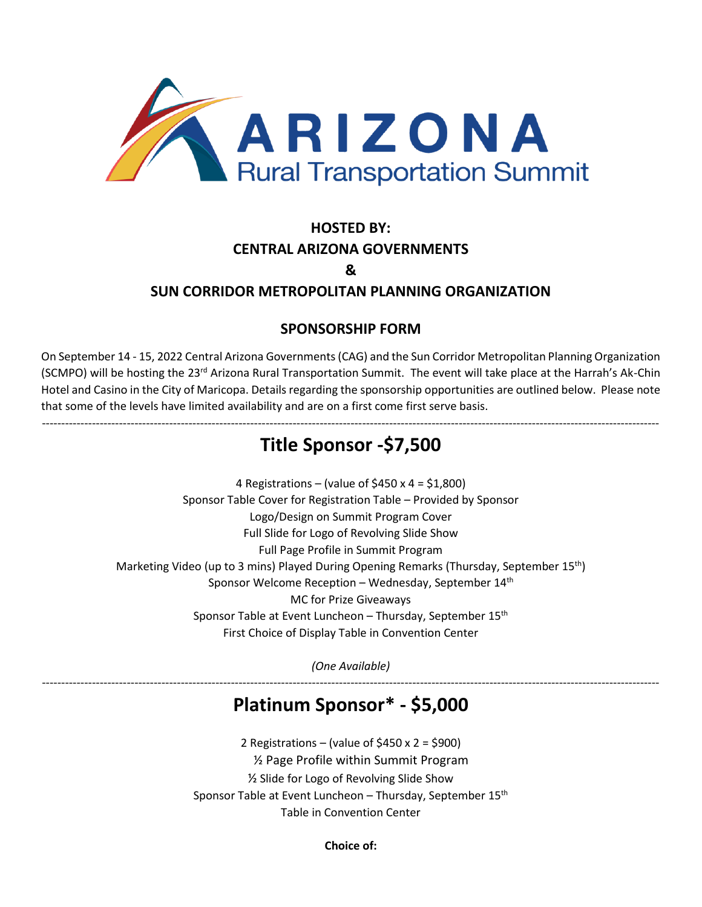

### **HOSTED BY: CENTRAL ARIZONA GOVERNMENTS &**

### **SUN CORRIDOR METROPOLITAN PLANNING ORGANIZATION**

### **SPONSORSHIP FORM**

On September 14 - 15, 2022 Central Arizona Governments (CAG) and the Sun Corridor Metropolitan Planning Organization (SCMPO) will be hosting the 23<sup>rd</sup> Arizona Rural Transportation Summit. The event will take place at the Harrah's Ak-Chin Hotel and Casino in the City of Maricopa. Details regarding the sponsorship opportunities are outlined below. Please note that some of the levels have limited availability and are on a first come first serve basis.

### ---------------------------------------------------------------------------------------------------------------------------------------------------------------- **Title Sponsor -\$7,500**

4 Registrations – (value of \$450 x 4 = \$1,800) Sponsor Table Cover for Registration Table – Provided by Sponsor Logo/Design on Summit Program Cover Full Slide for Logo of Revolving Slide Show Full Page Profile in Summit Program Marketing Video (up to 3 mins) Played During Opening Remarks (Thursday, September 15<sup>th</sup>) Sponsor Welcome Reception – Wednesday, September  $14<sup>th</sup>$ MC for Prize Giveaways Sponsor Table at Event Luncheon - Thursday, September 15<sup>th</sup> First Choice of Display Table in Convention Center

*(One Available)* ----------------------------------------------------------------------------------------------------------------------------------------------------------------

# **Platinum Sponsor\* - \$5,000**

2 Registrations – (value of \$450 x 2 = \$900) ½ Page Profile within Summit Program ½ Slide for Logo of Revolving Slide Show Sponsor Table at Event Luncheon – Thursday, September 15<sup>th</sup> Table in Convention Center

**Choice of:**